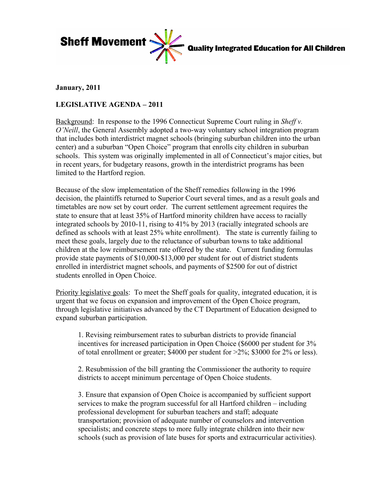

**Quality Integrated Education for All Children** 

## **January, 2011**

## **LEGISLATIVE AGENDA – 2011**

Background: In response to the 1996 Connecticut Supreme Court ruling in *Sheff v. O'Neill*, the General Assembly adopted a two-way voluntary school integration program that includes both interdistrict magnet schools (bringing suburban children into the urban center) and a suburban "Open Choice" program that enrolls city children in suburban schools. This system was originally implemented in all of Connecticut's major cities, but in recent years, for budgetary reasons, growth in the interdistrict programs has been limited to the Hartford region.

Because of the slow implementation of the Sheff remedies following in the 1996 decision, the plaintiffs returned to Superior Court several times, and as a result goals and timetables are now set by court order. The current settlement agreement requires the state to ensure that at least 35% of Hartford minority children have access to racially integrated schools by 2010-11, rising to 41% by 2013 (racially integrated schools are defined as schools with at least 25% white enrollment). The state is currently failing to meet these goals, largely due to the reluctance of suburban towns to take additional children at the low reimbursement rate offered by the state. Current funding formulas provide state payments of \$10,000-\$13,000 per student for out of district students enrolled in interdistrict magnet schools, and payments of \$2500 for out of district students enrolled in Open Choice.

Priority legislative goals: To meet the Sheff goals for quality, integrated education, it is urgent that we focus on expansion and improvement of the Open Choice program, through legislative initiatives advanced by the CT Department of Education designed to expand suburban participation.

1. Revising reimbursement rates to suburban districts to provide financial incentives for increased participation in Open Choice (\$6000 per student for 3% of total enrollment or greater; \$4000 per student for  $>2\%$ ; \$3000 for 2\% or less).

2. Resubmission of the bill granting the Commissioner the authority to require districts to accept minimum percentage of Open Choice students.

3. Ensure that expansion of Open Choice is accompanied by sufficient support services to make the program successful for all Hartford children – including professional development for suburban teachers and staff; adequate transportation; provision of adequate number of counselors and intervention specialists; and concrete steps to more fully integrate children into their new schools (such as provision of late buses for sports and extracurricular activities).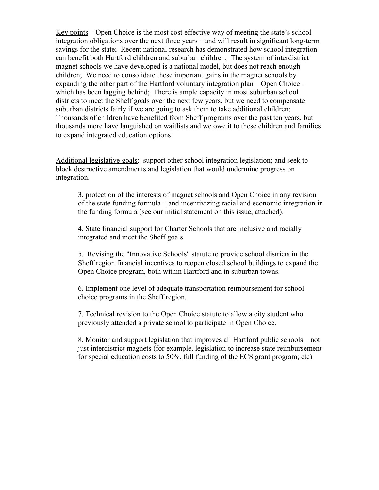Key points – Open Choice is the most cost effective way of meeting the state's school integration obligations over the next three years – and will result in significant long-term savings for the state; Recent national research has demonstrated how school integration can benefit both Hartford children and suburban children; The system of interdistrict magnet schools we have developed is a national model, but does not reach enough children; We need to consolidate these important gains in the magnet schools by expanding the other part of the Hartford voluntary integration plan – Open Choice – which has been lagging behind; There is ample capacity in most suburban school districts to meet the Sheff goals over the next few years, but we need to compensate suburban districts fairly if we are going to ask them to take additional children; Thousands of children have benefited from Sheff programs over the past ten years, but thousands more have languished on waitlists and we owe it to these children and families to expand integrated education options.

Additional legislative goals: support other school integration legislation; and seek to block destructive amendments and legislation that would undermine progress on integration.

3. protection of the interests of magnet schools and Open Choice in any revision of the state funding formula – and incentivizing racial and economic integration in the funding formula (see our initial statement on this issue, attached).

4. State financial support for Charter Schools that are inclusive and racially integrated and meet the Sheff goals.

5. Revising the "Innovative Schools" statute to provide school districts in the Sheff region financial incentives to reopen closed school buildings to expand the Open Choice program, both within Hartford and in suburban towns.

6. Implement one level of adequate transportation reimbursement for school choice programs in the Sheff region.

7. Technical revision to the Open Choice statute to allow a city student who previously attended a private school to participate in Open Choice.

8. Monitor and support legislation that improves all Hartford public schools – not just interdistrict magnets (for example, legislation to increase state reimbursement for special education costs to 50%, full funding of the ECS grant program; etc)